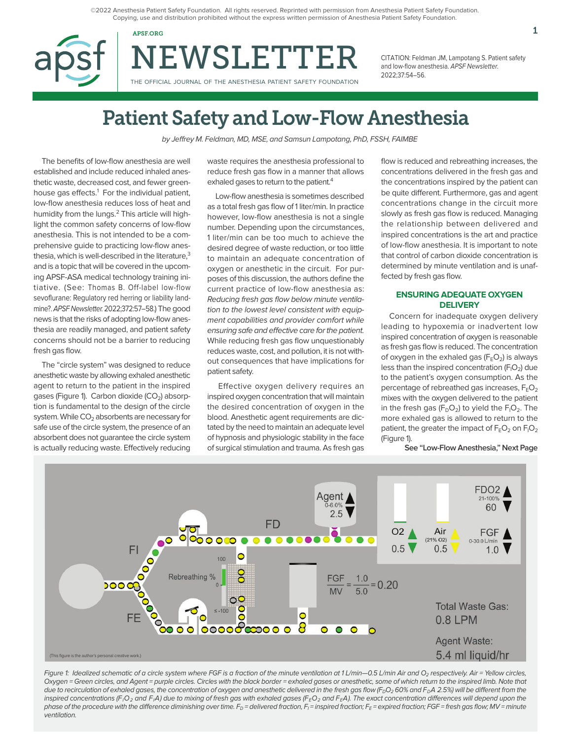©2022 Anesthesia Patient Safety Foundation. All rights reserved. Reprinted with permission from Anesthesia Patient Safety Foundation. Copying, use and distribution prohibited without the express written permission of Anesthesia Patient Safety Foundation.

NEWSLETTER

THE OFFICIAL JOURNAL OF THE ANESTHESIA PATIENT SAFETY FOUNDATION

CITATION: Feldman JM, Lampotang S. Patient safety and low-flow anesthesia. APSF Newsletter. 2022;37:54–56.

# Patient Safety and Low-Flow Anesthesia

by Jeffrey M. Feldman, MD, MSE, and Samsun Lampotang, PhD, FSSH, FAIMBE

The benefits of low-flow anesthesia are well established and include reduced inhaled anesthetic waste, decreased cost, and fewer greenhouse gas effects.<sup>1</sup> For the individual patient, low-flow anesthesia reduces loss of heat and humidity from the lungs.<sup>2</sup> This article will highlight the common safety concerns of low-flow anesthesia. This is not intended to be a comprehensive guide to practicing low-flow anesthesia, which is well-described in the literature, $3$ and is a topic that will be covered in the upcoming APSF-ASA medical technology training initiative. (See: Thomas B. Off-label low-flow sevoflurane: Regulatory red herring or liability landmine?. APSF Newsletter. 2022;372:57–58.) The good news is that the risks of adopting low-flow anesthesia are readily managed, and patient safety concerns should not be a barrier to reducing fresh gas flow.

The "circle system" was designed to reduce anesthetic waste by allowing exhaled anesthetic agent to return to the patient in the inspired gases (Figure 1). Carbon dioxide  $(CO<sub>2</sub>)$  absorption is fundamental to the design of the circle system. While  $CO<sub>2</sub>$  absorbents are necessary for safe use of the circle system, the presence of an absorbent does not guarantee the circle system is actually reducing waste. Effectively reducing

waste requires the anesthesia professional to reduce fresh gas flow in a manner that allows exhaled gases to return to the patient.<sup>4</sup>

Low-flow anesthesia is sometimes described as a total fresh gas flow of 1 liter/min. In practice however, low-flow anesthesia is not a single number. Depending upon the circumstances, 1 liter/min can be too much to achieve the desired degree of waste reduction, or too little to maintain an adequate concentration of oxygen or anesthetic in the circuit. For purposes of this discussion, the authors define the current practice of low-flow anesthesia as: Reducing fresh gas flow below minute ventilation to the lowest level consistent with equipment capabilities and provider comfort while ensuring safe and effective care for the patient. While reducing fresh gas flow unquestionably reduces waste, cost, and pollution, it is not without consequences that have implications for patient safety.

 Effective oxygen delivery requires an inspired oxygen concentration that will maintain the desired concentration of oxygen in the blood. Anesthetic agent requirements are dictated by the need to maintain an adequate level of hypnosis and physiologic stability in the face of surgical stimulation and trauma. As fresh gas

flow is reduced and rebreathing increases, the concentrations delivered in the fresh gas and the concentrations inspired by the patient can be quite different. Furthermore, gas and agent concentrations change in the circuit more slowly as fresh gas flow is reduced. Managing the relationship between delivered and inspired concentrations is the art and practice of low-flow anesthesia. It is important to note that control of carbon dioxide concentration is determined by minute ventilation and is unaffected by fresh gas flow.

# **ENSURING ADEQUATE OXYGEN DELIVERY**

Concern for inadequate oxygen delivery leading to hypoxemia or inadvertent low inspired concentration of oxygen is reasonable as fresh gas flow is reduced. The concentration of oxygen in the exhaled gas  $(F_EO_2)$  is always less than the inspired concentration (F $_O$ ) due to the patient's oxygen consumption. As the percentage of rebreathed gas increases,  $F_FO<sub>2</sub>$ mixes with the oxygen delivered to the patient in the fresh gas (F $_D$ O $_2$ ) to yield the F $_1$ O $_2$ . The more exhaled gas is allowed to return to the patient, the greater the impact of  $\mathsf{F}_{\mathsf{E}}\mathsf{O}_2$  on  $\mathsf{F}_{\mathsf{I}}\mathsf{O}_2$ (Figure 1).

**See "Low-Flow Anesthesia," Next Page**



Figure 1: Idealized schematic of a circle system where FGF is a fraction of the minute ventilation at 1 L/min-0.5 L/min Air and O<sub>2</sub> respectively. Air = Yellow circles, Oxygen = Green circles, and Agent = purple circles. Circles with the black border = exhaled gases or anesthetic, some of which return to the inspired limb. Note that due to recirculation of exhaled gases, the concentration of oxygen and anesthetic delivered in the fresh gas flow ( $F<sub>0</sub>O<sub>2</sub>$  60% and  $F<sub>0</sub>A$  2.5%) will be different from the inspired concentrations (F<sub>I</sub>O<sub>2</sub> and F<sub>I</sub>A) due to mixing of fresh gas with exhaled gases (F<sub>E</sub>O<sub>2</sub> and F<sub>E</sub>A). The exact concentration differences will depend upon the phase of the procedure with the difference diminishing over time. F<sub>D</sub> = delivered fraction, F<sub>I</sub> = inspired fraction; F<sub>E</sub> = expired fraction; FGF = fresh gas flow; MV = minute ventilation.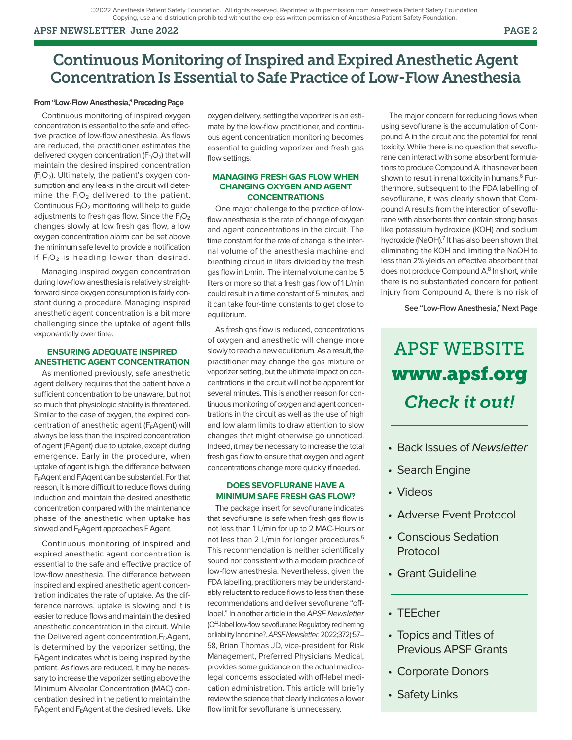# APSF NEWSLETTER June 2022 PAGE 2

# Continuous Monitoring of Inspired and Expired Anesthetic Agent Concentration Is Essential to Safe Practice of Low-Flow Anesthesia

## **From "Low-Flow Anesthesia," Preceding Page**

Continuous monitoring of inspired oxygen concentration is essential to the safe and effective practice of low-flow anesthesia. As flows are reduced, the practitioner estimates the delivered oxygen concentration  $(F_DO_2)$  that will maintain the desired inspired concentration  $(F<sub>1</sub>O<sub>2</sub>)$ . Ultimately, the patient's oxygen consumption and any leaks in the circuit will determine the  $F_1O_2$  delivered to the patient. Continuous  $F_1O_2$  monitoring will help to guide adjustments to fresh gas flow. Since the  $F_1O_2$ changes slowly at low fresh gas flow, a low oxygen concentration alarm can be set above the minimum safe level to provide a notification if  $F_1O_2$  is heading lower than desired.

Managing inspired oxygen concentration during low-flow anesthesia is relatively straightforward since oxygen consumption is fairly constant during a procedure. Managing inspired anesthetic agent concentration is a bit more challenging since the uptake of agent falls exponentially over time.

### **ENSURING ADEQUATE INSPIRED ANESTHETIC AGENT CONCENTRATION**

As mentioned previously, safe anesthetic agent delivery requires that the patient have a sufficient concentration to be unaware, but not so much that physiologic stability is threatened. Similar to the case of oxygen, the expired concentration of anesthetic agent (FEAgent) will always be less than the inspired concentration of agent (F<sub>I</sub>Agent) due to uptake, except during emergence. Early in the procedure, when uptake of agent is high, the difference between  $F_{E}$ Agent and  $F_{I}$ Agent can be substantial. For that reason, it is more difficult to reduce flows during induction and maintain the desired anesthetic concentration compared with the maintenance phase of the anesthetic when uptake has slowed and F<sub>E</sub>Agent approaches F<sub>I</sub>Agent.

Continuous monitoring of inspired and expired anesthetic agent concentration is essential to the safe and effective practice of low-flow anesthesia. The difference between inspired and expired anesthetic agent concentration indicates the rate of uptake. As the difference narrows, uptake is slowing and it is easier to reduce flows and maintain the desired anesthetic concentration in the circuit. While the Delivered agent concentration, $F_D A$ gent, is determined by the vaporizer setting, the F<sub>I</sub>Agent indicates what is being inspired by the patient. As flows are reduced, it may be necessary to increase the vaporizer setting above the Minimum Alveolar Concentration (MAC) concentration desired in the patient to maintain the F<sub>I</sub>Agent and F<sub>E</sub>Agent at the desired levels. Like oxygen delivery, setting the vaporizer is an estimate by the low-flow practitioner, and continuous agent concentration monitoring becomes essential to guiding vaporizer and fresh gas flow settings.

## **MANAGING FRESH GAS FLOW WHEN CHANGING OXYGEN AND AGENT CONCENTRATIONS**

One major challenge to the practice of lowflow anesthesia is the rate of change of oxygen and agent concentrations in the circuit. The time constant for the rate of change is the internal volume of the anesthesia machine and breathing circuit in liters divided by the fresh gas flow in L/min. The internal volume can be 5 liters or more so that a fresh gas flow of 1 L/min could result in a time constant of 5 minutes, and it can take four-time constants to get close to equilibrium.

As fresh gas flow is reduced, concentrations of oxygen and anesthetic will change more slowly to reach a new equilibrium. As a result, the practitioner may change the gas mixture or vaporizer setting, but the ultimate impact on concentrations in the circuit will not be apparent for several minutes. This is another reason for continuous monitoring of oxygen and agent concentrations in the circuit as well as the use of high and low alarm limits to draw attention to slow changes that might otherwise go unnoticed. Indeed, it may be necessary to increase the total fresh gas flow to ensure that oxygen and agent concentrations change more quickly if needed.

# **DOES SEVOFLURANE HAVE A MINIMUM SAFE FRESH GAS FLOW?**

The package insert for sevoflurane indicates that sevoflurane is safe when fresh gas flow is not less than 1 L/min for up to 2 MAC-Hours or not less than 2 L/min for longer procedures.<sup>5</sup> This recommendation is neither scientifically sound nor consistent with a modern practice of low-flow anesthesia. Nevertheless, given the FDA labelling, practitioners may be understandably reluctant to reduce flows to less than these recommendations and deliver sevoflurane "offlabel." In another article in the APSF Newsletter (Off-label low-flow sevoflurane: Regulatory red herring or liability landmine?. APSF Newsletter. 2022;372):57– 58, Brian Thomas JD, vice-president for Risk Management, Preferred Physicians Medical, provides some guidance on the actual medicolegal concerns associated with off-label medication administration. This article will briefly review the science that clearly indicates a lower flow limit for sevoflurane is unnecessary.

The major concern for reducing flows when using sevoflurane is the accumulation of Compound A in the circuit and the potential for renal toxicity. While there is no question that sevoflurane can interact with some absorbent formulations to produce Compound A, it has never been shown to result in renal toxicity in humans.<sup>6</sup> Furthermore, subsequent to the FDA labelling of sevoflurane, it was clearly shown that Compound A results from the interaction of sevoflurane with absorbents that contain strong bases like potassium hydroxide (KOH) and sodium hydroxide (NaOH).<sup>7</sup> It has also been shown that eliminating the KOH and limiting the NaOH to less than 2% yields an effective absorbent that does not produce Compound A.<sup>8</sup> In short, while there is no substantiated concern for patient injury from Compound A, there is no risk of

**See "Low-Flow Anesthesia," Next Page**

# APSF WEBSITE www.apsf.org *Check it out!*

- Back Issues of Newsletter
- Search Engine
- Videos
- Adverse Event Protocol
- Conscious Sedation Protocol
- Grant Guideline
- TEEcher
- Topics and Titles of Previous APSF Grants
- Corporate Donors
- Safety Links